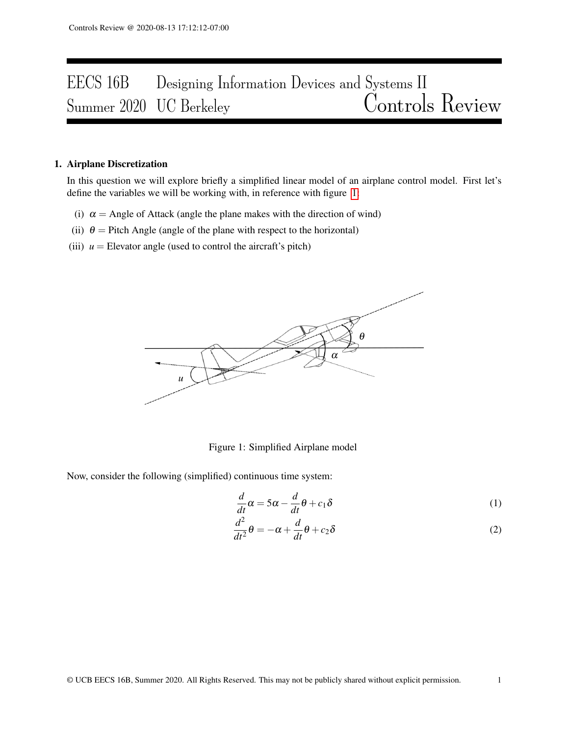# EECS 16B Designing Information Devices and Systems II<br>Summer 2020 UC Berkeley Controls Review Summer 2020 UC Berkeley

## 1. Airplane Discretization

In this question we will explore briefly a simplified linear model of an airplane control model. First let's define the variables we will be working with, in reference with figure [1:](#page-0-0)

- (i)  $\alpha$  = Angle of Attack (angle the plane makes with the direction of wind)
- (ii)  $\theta$  = Pitch Angle (angle of the plane with respect to the horizontal)
- <span id="page-0-0"></span>(iii)  $u =$  Elevator angle (used to control the aircraft's pitch)



Figure 1: Simplified Airplane model

Now, consider the following (simplified) continuous time system:

$$
\frac{d}{dt}\alpha = 5\alpha - \frac{d}{dt}\theta + c_1\delta\tag{1}
$$

$$
\frac{d^2}{dt^2}\theta = -\alpha + \frac{d}{dt}\theta + c_2\delta\tag{2}
$$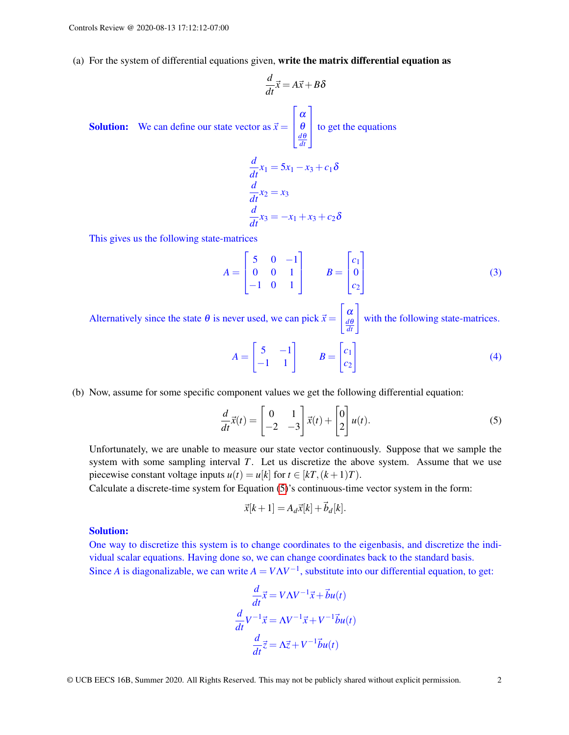(a) For the system of differential equations given, write the matrix differential equation as

$$
\frac{d}{dt}\vec{x} = A\vec{x} + B\delta
$$
\nSolution: We can define our state vector as 

\n
$$
\vec{x} = \begin{bmatrix} \alpha \\ \theta \\ \frac{d\theta}{dt} \end{bmatrix}
$$
\nto get the equations

\n
$$
\frac{d}{dt}x_1 = 5x_1 - x_3 + c_1\delta
$$
\n
$$
\frac{d}{dt}x_2 = x_3
$$
\n
$$
\frac{d}{dt}x_3 = -x_1 + x_3 + c_2\delta
$$

This gives us the following state-matrices

$$
A = \begin{bmatrix} 5 & 0 & -1 \\ 0 & 0 & 1 \\ -1 & 0 & 1 \end{bmatrix} \qquad B = \begin{bmatrix} c_1 \\ 0 \\ c_2 \end{bmatrix}
$$
 (3)

Alternatively since the state  $\theta$  is never used, we can pick  $\vec{x} =$  $\int \alpha$  $\begin{bmatrix} \alpha \\ \frac{d\theta}{dt} \end{bmatrix}$ with the following state-matrices.

$$
A = \begin{bmatrix} 5 & -1 \\ -1 & 1 \end{bmatrix} \qquad B = \begin{bmatrix} c_1 \\ c_2 \end{bmatrix} \tag{4}
$$

(b) Now, assume for some specific component values we get the following differential equation:

$$
\frac{d}{dt}\vec{x}(t) = \begin{bmatrix} 0 & 1 \\ -2 & -3 \end{bmatrix} \vec{x}(t) + \begin{bmatrix} 0 \\ 2 \end{bmatrix} u(t).
$$
 (5)

Unfortunately, we are unable to measure our state vector continuously. Suppose that we sample the system with some sampling interval *T*. Let us discretize the above system. Assume that we use piecewise constant voltage inputs  $u(t) = u[k]$  for  $t \in [k]$ ,  $(k+1)T$ .

Calculate a discrete-time system for Equation [\(5\)](#page-1-0)'s continuous-time vector system in the form:

<span id="page-1-0"></span>
$$
\vec{x}[k+1] = A_d \vec{x}[k] + \vec{b}_d[k].
$$

### Solution:

One way to discretize this system is to change coordinates to the eigenbasis, and discretize the individual scalar equations. Having done so, we can change coordinates back to the standard basis. Since *A* is diagonalizable, we can write  $A = V\Lambda V^{-1}$ , substitute into our differential equation, to get:

$$
\frac{d}{dt}\vec{x} = V\Lambda V^{-1}\vec{x} + \vec{b}u(t)
$$

$$
\frac{d}{dt}V^{-1}\vec{x} = \Lambda V^{-1}\vec{x} + V^{-1}\vec{b}u(t)
$$

$$
\frac{d}{dt}\vec{z} = \Lambda \vec{z} + V^{-1}\vec{b}u(t)
$$

*d*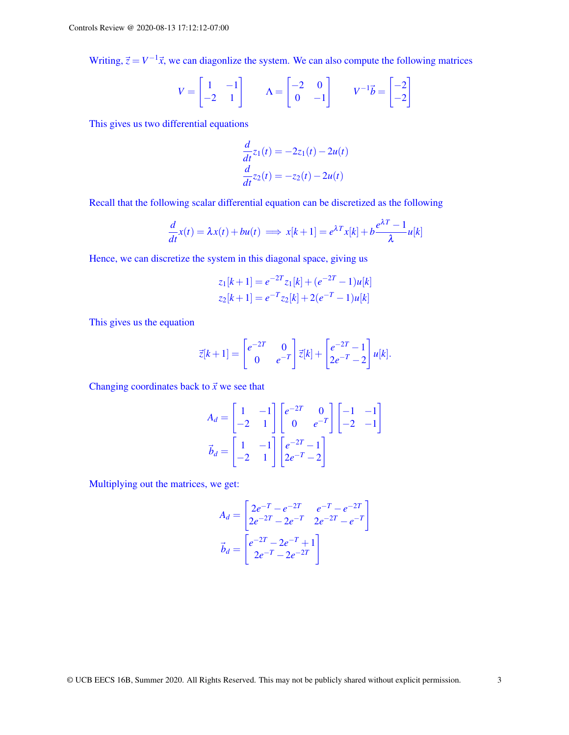Writing,  $\vec{z} = V^{-1}\vec{x}$ , we can diagonlize the system. We can also compute the following matrices

$$
V = \begin{bmatrix} 1 & -1 \\ -2 & 1 \end{bmatrix} \qquad \Lambda = \begin{bmatrix} -2 & 0 \\ 0 & -1 \end{bmatrix} \qquad V^{-1}\vec{b} = \begin{bmatrix} -2 \\ -2 \end{bmatrix}
$$

This gives us two differential equations

$$
\frac{d}{dt}z_1(t) = -2z_1(t) - 2u(t)
$$

$$
\frac{d}{dt}z_2(t) = -z_2(t) - 2u(t)
$$

Recall that the following scalar differential equation can be discretized as the following

$$
\frac{d}{dt}x(t) = \lambda x(t) + bu(t) \implies x[k+1] = e^{\lambda T}x[k] + b\frac{e^{\lambda T} - 1}{\lambda}u[k]
$$

Hence, we can discretize the system in this diagonal space, giving us

$$
z_1[k+1] = e^{-2T} z_1[k] + (e^{-2T} - 1)u[k]
$$
  

$$
z_2[k+1] = e^{-T} z_2[k] + 2(e^{-T} - 1)u[k]
$$

This gives us the equation

$$
\vec{z}[k+1] = \begin{bmatrix} e^{-2T} & 0 \\ 0 & e^{-T} \end{bmatrix} \vec{z}[k] + \begin{bmatrix} e^{-2T} - 1 \\ 2e^{-T} - 2 \end{bmatrix} u[k].
$$

Changing coordinates back to  $\vec{x}$  we see that

$$
A_d = \begin{bmatrix} 1 & -1 \\ -2 & 1 \end{bmatrix} \begin{bmatrix} e^{-2T} & 0 \\ 0 & e^{-T} \end{bmatrix} \begin{bmatrix} -1 & -1 \\ -2 & -1 \end{bmatrix}
$$

$$
\vec{b}_d = \begin{bmatrix} 1 & -1 \\ -2 & 1 \end{bmatrix} \begin{bmatrix} e^{-2T} - 1 \\ 2e^{-T} - 2 \end{bmatrix}
$$

Multiplying out the matrices, we get:

$$
A_d = \begin{bmatrix} 2e^{-T} - e^{-2T} & e^{-T} - e^{-2T} \\ 2e^{-2T} - 2e^{-T} & 2e^{-2T} - e^{-T} \end{bmatrix}
$$

$$
\vec{b}_d = \begin{bmatrix} e^{-2T} - 2e^{-T} + 1 \\ 2e^{-T} - 2e^{-2T} \end{bmatrix}
$$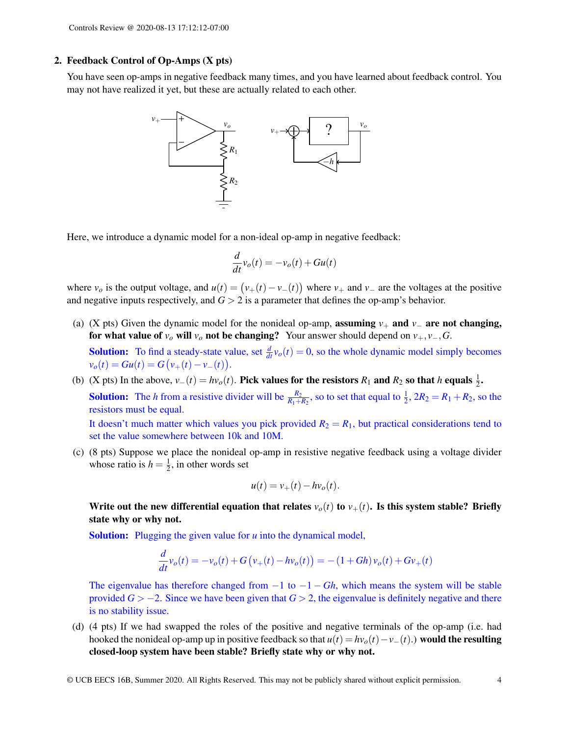### 2. Feedback Control of Op-Amps (X pts)

You have seen op-amps in negative feedback many times, and you have learned about feedback control. You may not have realized it yet, but these are actually related to each other.



Here, we introduce a dynamic model for a non-ideal op-amp in negative feedback:

$$
\frac{d}{dt}v_o(t) = -v_o(t) + Gu(t)
$$

where  $v_o$  is the output voltage, and  $u(t) = (v_+(t) - v_-(t))$  where  $v_+$  and  $v_-$  are the voltages at the positive and negative inputs respectively, and  $G > 2$  is a parameter that defines the op-amp's behavior.

(a) (X pts) Given the dynamic model for the nonideal op-amp, **assuming**  $v_+$  and  $v_-$  are not changing, for what value of  $v<sub>o</sub>$  will  $v<sub>o</sub>$  not be changing? Your answer should depend on  $v<sub>+</sub>, v<sub>-</sub>, G$ .

**Solution:** To find a steady-state value, set  $\frac{d}{dt} v_o(t) = 0$ , so the whole dynamic model simply becomes  $v_o(t) = Gu(t) = G(v_+(t) - v_-(t)).$ 

- (b) (X pts) In the above,  $v_-(t) = hv_o(t)$ . Pick values for the resistors  $R_1$  and  $R_2$  so that *h* equals  $\frac{1}{2}$ . **Solution:** The *h* from a resistive divider will be  $\frac{R_2}{R_1+R_2}$ , so to set that equal to  $\frac{1}{2}$ ,  $2R_2 = R_1 + R_2$ , so the resistors must be equal. It doesn't much matter which values you pick provided  $R_2 = R_1$ , but practical considerations tend to set the value somewhere between 10k and 10M.
- (c) (8 pts) Suppose we place the nonideal op-amp in resistive negative feedback using a voltage divider whose ratio is  $h = \frac{1}{2}$  $\frac{1}{2}$ , in other words set

$$
u(t) = v_+(t) - hv_o(t).
$$

Write out the new differential equation that relates  $v_o(t)$  to  $v_+(t)$ . Is this system stable? Briefly state why or why not.

Solution: Plugging the given value for *u* into the dynamical model,

$$
\frac{d}{dt}v_o(t) = -v_o(t) + G(v_+(t) - hv_o(t)) = -(1 + Gh)v_o(t) + Gv_+(t)
$$

The eigenvalue has therefore changed from  $-1$  to  $-1 - Gh$ , which means the system will be stable provided  $G > -2$ . Since we have been given that  $G > 2$ , the eigenvalue is definitely negative and there is no stability issue.

(d) (4 pts) If we had swapped the roles of the positive and negative terminals of the op-amp (i.e. had hooked the nonideal op-amp up in positive feedback so that  $u(t) = hv_o(t) - v_-(t)$ .) would the resulting closed-loop system have been stable? Briefly state why or why not.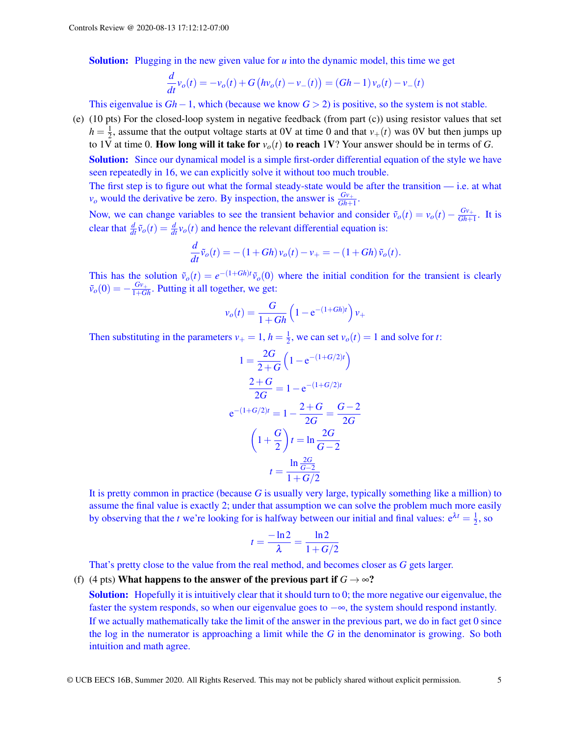Solution: Plugging in the new given value for *u* into the dynamic model, this time we get

$$
\frac{d}{dt}v_o(t) = -v_o(t) + G\left(hv_o(t) - v_-(t)\right) = (Gh - 1)v_o(t) - v_-(t)
$$

This eigenvalue is *Gh*−1, which (because we know *G* > 2) is positive, so the system is not stable.

(e) (10 pts) For the closed-loop system in negative feedback (from part (c)) using resistor values that set  $h=\frac{1}{2}$  $\frac{1}{2}$ , assume that the output voltage starts at 0V at time 0 and that  $v_{+}(t)$  was 0V but then jumps up to 1 $\overline{V}$  at time 0. How long will it take for  $v_o(t)$  to reach 1V? Your answer should be in terms of *G*.

**Solution:** Since our dynamical model is a simple first-order differential equation of the style we have seen repeatedly in 16, we can explicitly solve it without too much trouble.

The first step is to figure out what the formal steady-state would be after the transition — i.e. at what  $v_o$  would the derivative be zero. By inspection, the answer is  $\frac{Gv_+}{Gh+1}$ .

Now, we can change variables to see the transient behavior and consider  $\tilde{v}_o(t) = v_o(t) - \frac{Gv_+}{Gh_+}$  $\frac{Gv_+}{Gh+1}$ . It is clear that  $\frac{d}{dt}\tilde{v}_o(t) = \frac{d}{dt}v_o(t)$  and hence the relevant differential equation is:

$$
\frac{d}{dt}\tilde{v}_o(t) = -(1+Gh)v_o(t) - v_+ = -(1+Gh)\tilde{v}_o(t).
$$

This has the solution  $\tilde{v}_o(t) = e^{-(1+Gh)t} \tilde{v}_o(0)$  where the initial condition for the transient is clearly  $\tilde{v}_o(0) = -\frac{Gv_+}{1+Gh}$ . Putting it all together, we get:

$$
v_o(t) = \frac{G}{1 + Gh} \left( 1 - e^{-(1 + Gh)t} \right) v_+
$$

Then substituting in the parameters  $v_{+} = 1$ ,  $h = \frac{1}{2}$  $\frac{1}{2}$ , we can set  $v_o(t) = 1$  and solve for *t*:

$$
1 = \frac{2G}{2+G} \left( 1 - e^{-(1+G/2)t} \right)
$$

$$
\frac{2+G}{2G} = 1 - e^{-(1+G/2)t}
$$

$$
e^{-(1+G/2)t} = 1 - \frac{2+G}{2G} = \frac{G-2}{2G}
$$

$$
\left( 1 + \frac{G}{2} \right)t = \ln \frac{2G}{G-2}
$$

$$
t = \frac{\ln \frac{2G}{G-2}}{1+G/2}
$$

It is pretty common in practice (because *G* is usually very large, typically something like a million) to assume the final value is exactly 2; under that assumption we can solve the problem much more easily by observing that the *t* we're looking for is halfway between our initial and final values:  $e^{\lambda t} = \frac{1}{2}$  $\frac{1}{2}$ , so

$$
t = \frac{-\ln 2}{\lambda} = \frac{\ln 2}{1 + G/2}
$$

That's pretty close to the value from the real method, and becomes closer as *G* gets larger.

## (f) (4 pts) What happens to the answer of the previous part if  $G \rightarrow \infty$ ?

**Solution:** Hopefully it is intuitively clear that it should turn to 0; the more negative our eigenvalue, the faster the system responds, so when our eigenvalue goes to −∞, the system should respond instantly. If we actually mathematically take the limit of the answer in the previous part, we do in fact get 0 since the log in the numerator is approaching a limit while the *G* in the denominator is growing. So both intuition and math agree.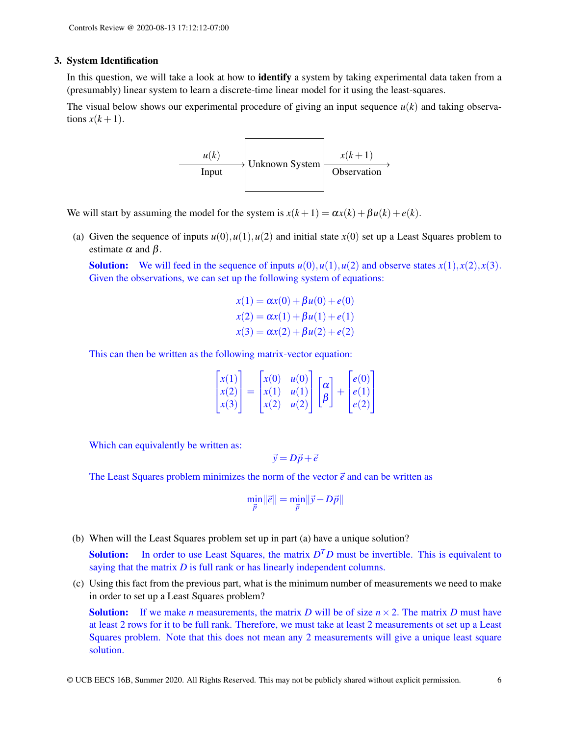#### 3. System Identification

In this question, we will take a look at how to identify a system by taking experimental data taken from a (presumably) linear system to learn a discrete-time linear model for it using the least-squares.

The visual below shows our experimental procedure of giving an input sequence  $u(k)$  and taking observations  $x(k+1)$ .



We will start by assuming the model for the system is  $x(k+1) = \alpha x(k) + \beta u(k) + e(k)$ .

(a) Given the sequence of inputs  $u(0), u(1), u(2)$  and initial state  $x(0)$  set up a Least Squares problem to estimate  $\alpha$  and  $\beta$ .

**Solution:** We will feed in the sequence of inputs  $u(0), u(1), u(2)$  and observe states  $x(1), x(2), x(3)$ . Given the observations, we can set up the following system of equations:

$$
x(1) = \alpha x(0) + \beta u(0) + e(0)
$$
  
\n
$$
x(2) = \alpha x(1) + \beta u(1) + e(1)
$$
  
\n
$$
x(3) = \alpha x(2) + \beta u(2) + e(2)
$$

This can then be written as the following matrix-vector equation:

| $\vert x(1) \vert$<br>$\vert x(2) \vert$<br>$\vert x(3) \vert$ | $\left  x(0) \right  u(0) \right $<br>$\left  x(1) \quad u(1) \right $<br>u(2)<br>$\vert x(2) \vert$ | $\lceil \alpha \rceil$ | $\left e(0)\right $<br>(e(1))<br> e(2) |
|----------------------------------------------------------------|------------------------------------------------------------------------------------------------------|------------------------|----------------------------------------|
|----------------------------------------------------------------|------------------------------------------------------------------------------------------------------|------------------------|----------------------------------------|

Which can equivalently be written as:

$$
\vec{y} = D\vec{p} + \vec{e}
$$

The Least Squares problem minimizes the norm of the vector  $\vec{e}$  and can be written as

$$
\min_{\vec{p}} \|\vec{e}\| = \min_{\vec{p}} \|\vec{y} - D\vec{p}\|
$$

(b) When will the Least Squares problem set up in part (a) have a unique solution?

**Solution:** In order to use Least Squares, the matrix  $D<sup>T</sup>D$  must be invertible. This is equivalent to saying that the matrix *D* is full rank or has linearly independent columns.

(c) Using this fact from the previous part, what is the minimum number of measurements we need to make in order to set up a Least Squares problem?

**Solution:** If we make *n* measurements, the matrix *D* will be of size  $n \times 2$ . The matrix *D* must have at least 2 rows for it to be full rank. Therefore, we must take at least 2 measurements ot set up a Least Squares problem. Note that this does not mean any 2 measurements will give a unique least square solution.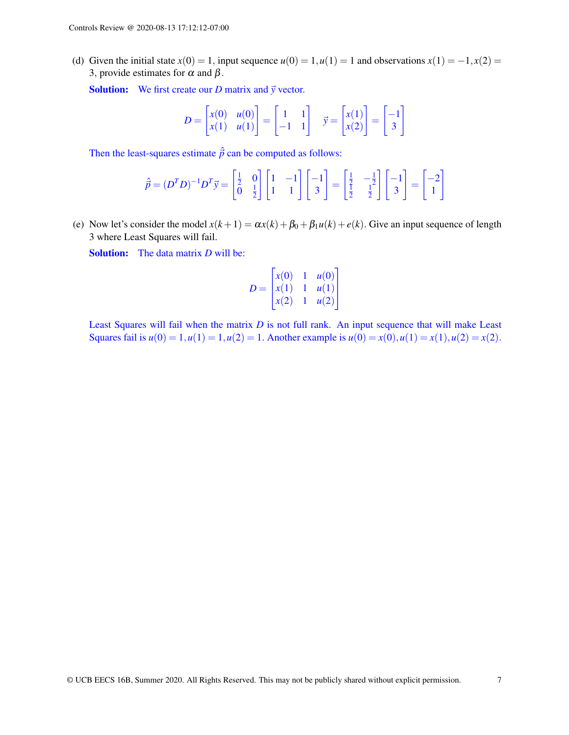(d) Given the initial state  $x(0) = 1$ , input sequence  $u(0) = 1$ ,  $u(1) = 1$  and observations  $x(1) = -1$ ,  $x(2) = 1$ 3, provide estimates for  $\alpha$  and  $\beta$ .

**Solution:** We first create our *D* matrix and  $\vec{y}$  vector.

$$
D = \begin{bmatrix} x(0) & u(0) \\ x(1) & u(1) \end{bmatrix} = \begin{bmatrix} 1 & 1 \\ -1 & 1 \end{bmatrix} \quad \vec{y} = \begin{bmatrix} x(1) \\ x(2) \end{bmatrix} = \begin{bmatrix} -1 \\ 3 \end{bmatrix}
$$

Then the least-squares estimate  $\hat{p}$  can be computed as follows:

$$
\hat{p} = (D^T D)^{-1} D^T \vec{y} = \begin{bmatrix} \frac{1}{2} & 0\\ 0 & \frac{1}{2} \end{bmatrix} \begin{bmatrix} 1 & -1\\ 1 & 1 \end{bmatrix} \begin{bmatrix} -1\\ 3 \end{bmatrix} = \begin{bmatrix} \frac{1}{2} & -\frac{1}{2} \\ \frac{1}{2} & \frac{1}{2} \end{bmatrix} \begin{bmatrix} -1\\ 3 \end{bmatrix} = \begin{bmatrix} -2\\ 1 \end{bmatrix}
$$

(e) Now let's consider the model  $x(k+1) = \alpha x(k) + \beta_0 + \beta_1 u(k) + e(k)$ . Give an input sequence of length 3 where Least Squares will fail.

Solution: The data matrix *D* will be:

$$
D = \begin{bmatrix} x(0) & 1 & u(0) \\ x(1) & 1 & u(1) \\ x(2) & 1 & u(2) \end{bmatrix}
$$

Least Squares will fail when the matrix *D* is not full rank. An input sequence that will make Least Squares fail is  $u(0) = 1, u(1) = 1, u(2) = 1$ . Another example is  $u(0) = x(0), u(1) = x(1), u(2) = x(2)$ .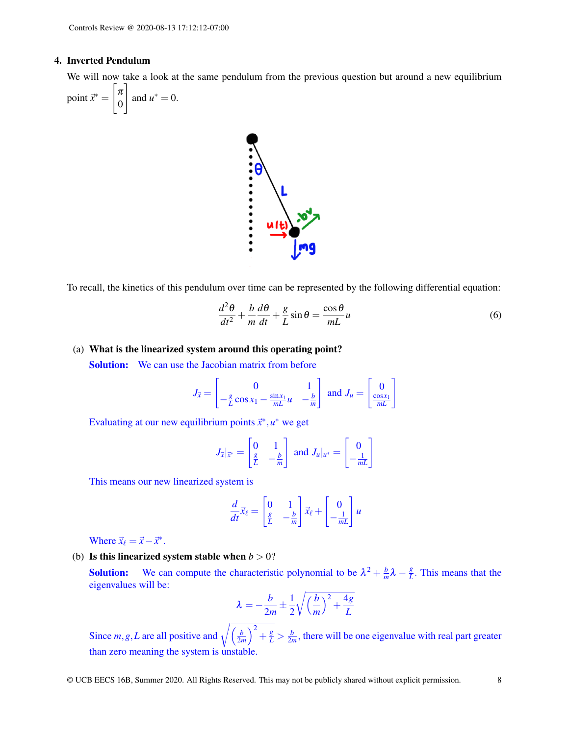#### 4. Inverted Pendulum

We will now take a look at the same pendulum from the previous question but around a new equilibrium

point  $\vec{x}^* =$  $\lceil \pi$ 0 1 and  $u^* = 0$ .



To recall, the kinetics of this pendulum over time can be represented by the following differential equation:

$$
\frac{d^2\theta}{dt^2} + \frac{b}{m}\frac{d\theta}{dt} + \frac{g}{L}\sin\theta = \frac{\cos\theta}{mL}u\tag{6}
$$

## (a) What is the linearized system around this operating point?

**Solution:** We can use the Jacobian matrix from before

$$
J_{\vec{x}} = \begin{bmatrix} 0 & 1 \\ -\frac{g}{L}\cos x_1 - \frac{\sin x_1}{mL}u & -\frac{b}{m} \end{bmatrix} \text{ and } J_u = \begin{bmatrix} 0 \\ \frac{\cos x_1}{mL} \end{bmatrix}
$$

Evaluating at our new equilibrium points  $\vec{x}^*, u^*$  we get

$$
J_{\vec{x}}|_{\vec{x}^*} = \begin{bmatrix} 0 & 1 \\ \frac{g}{L} & -\frac{b}{m} \end{bmatrix} \text{ and } J_u|_{u^*} = \begin{bmatrix} 0 \\ -\frac{1}{mL} \end{bmatrix}
$$

This means our new linearized system is

$$
\frac{d}{dt}\vec{x}_{\ell} = \begin{bmatrix} 0 & 1\\ \frac{g}{L} & -\frac{b}{m} \end{bmatrix} \vec{x}_{\ell} + \begin{bmatrix} 0\\ -\frac{1}{mL} \end{bmatrix} u
$$

Where  $\vec{x}_\ell = \vec{x} - \vec{x}^*$ .

(b) Is this linearized system stable when  $b > 0$ ?

**Solution:** We can compute the characteristic polynomial to be  $\lambda^2 + \frac{b}{m}$  $\frac{b}{m}\lambda - \frac{g}{L}$  $\frac{g}{L}$ . This means that the eigenvalues will be:

$$
\lambda = -\frac{b}{2m} \pm \frac{1}{2} \sqrt{\left(\frac{b}{m}\right)^2 + \frac{4g}{L}}
$$

Since *m*, *g*, *L* are all positive and  $\sqrt{\frac{b}{2n}}$  $\left(\frac{b}{2m}\right)^2 + \frac{g}{L} > \frac{b}{2m}$  $\frac{b}{2m}$ , there will be one eigenvalue with real part greater than zero meaning the system is unstable.

© UCB EECS 16B, Summer 2020. All Rights Reserved. This may not be publicly shared without explicit permission. 8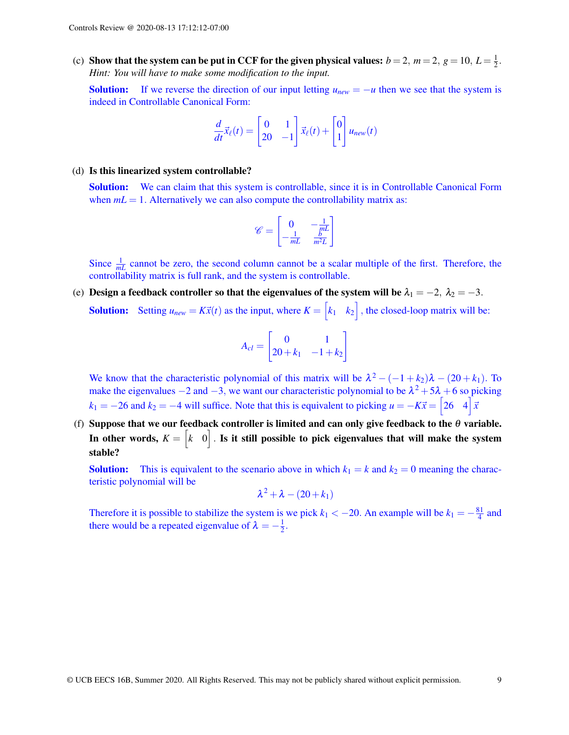(c) Show that the system can be put in CCF for the given physical values:  $b = 2$ ,  $m = 2$ ,  $g = 10$ ,  $L = \frac{1}{2}$  $rac{1}{2}$ . *Hint: You will have to make some modification to the input.*

**Solution:** If we reverse the direction of our input letting  $u_{new} = -u$  then we see that the system is indeed in Controllable Canonical Form:

$$
\frac{d}{dt}\vec{x}_{\ell}(t) = \begin{bmatrix} 0 & 1 \\ 20 & -1 \end{bmatrix} \vec{x}_{\ell}(t) + \begin{bmatrix} 0 \\ 1 \end{bmatrix} u_{new}(t)
$$

#### (d) Is this linearized system controllable?

Solution: We can claim that this system is controllable, since it is in Controllable Canonical Form when  $mL = 1$ . Alternatively we can also compute the controllability matrix as:

$$
\mathscr{C} = \begin{bmatrix} 0 & -\frac{1}{mL} \\ -\frac{1}{mL} & \frac{b}{m^2L} \end{bmatrix}
$$

Since  $\frac{1}{mL}$  cannot be zero, the second column cannot be a scalar multiple of the first. Therefore, the controllability matrix is full rank, and the system is controllable.

(e) Design a feedback controller so that the eigenvalues of the system will be  $\lambda_1 = -2$ ,  $\lambda_2 = -3$ . **Solution:** Setting  $u_{new} = K\vec{x}(t)$  as the input, where  $K = \begin{bmatrix} k_1 & k_2 \end{bmatrix}$ , the closed-loop matrix will be:

$$
A_{cl} = \begin{bmatrix} 0 & 1 \\ 20 + k_1 & -1 + k_2 \end{bmatrix}
$$

We know that the characteristic polynomial of this matrix will be  $\lambda^2 - (-1 + k_2)\lambda - (20 + k_1)$ . To make the eigenvalues  $-2$  and  $-3$ , we want our characteristic polynomial to be  $\lambda^2 + 5\lambda + 6$  so picking  $k_1 = -26$  and  $k_2 = -4$  will suffice. Note that this is equivalent to picking  $u = -K\vec{x} = \begin{bmatrix} 26 & 4 \end{bmatrix} \vec{x}$ 

(f) Suppose that we our feedback controller is limited and can only give feedback to the  $\theta$  variable. In other words,  $K = \begin{bmatrix} k & 0 \end{bmatrix}$  . Is it still possible to pick eigenvalues that will make the system stable?

**Solution:** This is equivalent to the scenario above in which  $k_1 = k$  and  $k_2 = 0$  meaning the characteristic polynomial will be

$$
\lambda^2+\lambda-(20+k_1)
$$

Therefore it is possible to stabilize the system is we pick  $k_1 < -20$ . An example will be  $k_1 = -\frac{81}{4}$  $\frac{31}{4}$  and there would be a repeated eigenvalue of  $\lambda = -\frac{1}{2}$  $\frac{1}{2}$ .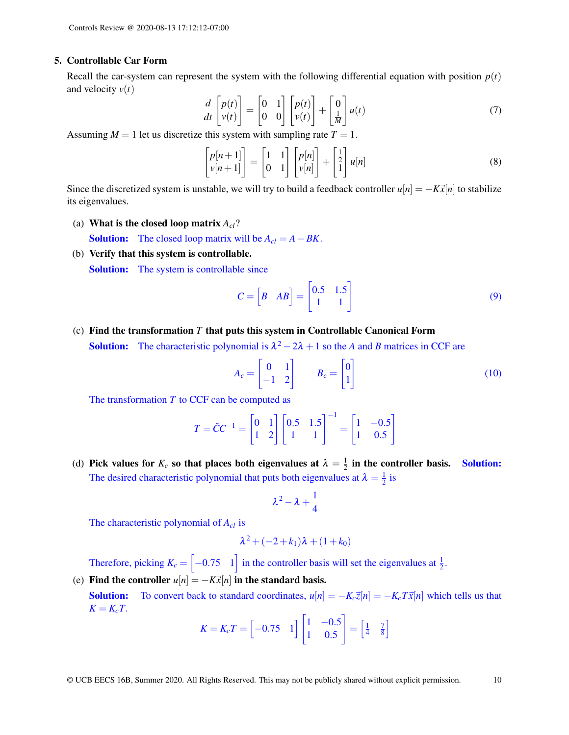#### 5. Controllable Car Form

Recall the car-system can represent the system with the following differential equation with position  $p(t)$ and velocity *v*(*t*)

$$
\frac{d}{dt}\begin{bmatrix}p(t)\\v(t)\end{bmatrix} = \begin{bmatrix}0 & 1\\0 & 0\end{bmatrix}\begin{bmatrix}p(t)\\v(t)\end{bmatrix} + \begin{bmatrix}0\\ \frac{1}{M}\end{bmatrix}u(t)
$$
\n(7)

Assuming  $M = 1$  let us discretize this system with sampling rate  $T = 1$ .

$$
\begin{bmatrix} p[n+1] \\ v[n+1] \end{bmatrix} = \begin{bmatrix} 1 & 1 \\ 0 & 1 \end{bmatrix} \begin{bmatrix} p[n] \\ v[n] \end{bmatrix} + \begin{bmatrix} \frac{1}{2} \\ 1 \end{bmatrix} u[n] \tag{8}
$$

Since the discretized system is unstable, we will try to build a feedback controller  $u[n] = -K\vec{x}[n]$  to stabilize its eigenvalues.

(a) What is the closed loop matrix *Acl*?

**Solution:** The closed loop matrix will be  $A_{cl} = A - BK$ .

(b) Verify that this system is controllable.

**Solution:** The system is controllable since

$$
C = \begin{bmatrix} B & AB \end{bmatrix} = \begin{bmatrix} 0.5 & 1.5 \\ 1 & 1 \end{bmatrix}
$$
 (9)

(c) Find the transformation *T* that puts this system in Controllable Canonical Form **Solution:** The characteristic polynomial is  $\lambda^2 - 2\lambda + 1$  so the *A* and *B* matrices in CCF are

$$
A_c = \begin{bmatrix} 0 & 1 \\ -1 & 2 \end{bmatrix} \qquad B_c = \begin{bmatrix} 0 \\ 1 \end{bmatrix} \tag{10}
$$

The transformation *T* to CCF can be computed as

$$
T = \tilde{C}C^{-1} = \begin{bmatrix} 0 & 1 \\ 1 & 2 \end{bmatrix} \begin{bmatrix} 0.5 & 1.5 \\ 1 & 1 \end{bmatrix}^{-1} = \begin{bmatrix} 1 & -0.5 \\ 1 & 0.5 \end{bmatrix}
$$

(d) Pick values for  $K_c$  so that places both eigenvalues at  $\lambda = \frac{1}{2}$  $\frac{1}{2}$  in the controller basis. Solution: The desired characteristic polynomial that puts both eigenvalues at  $\lambda = \frac{1}{2}$  $rac{1}{2}$  is

$$
\lambda^2-\lambda+\frac{1}{4}
$$

The characteristic polynomial of *Acl* is

$$
\lambda^2 + (-2 + k_1)\lambda + (1 + k_0)
$$

Therefore, picking  $K_c = \begin{bmatrix} -0.75 & 1 \end{bmatrix}$  in the controller basis will set the eigenvalues at  $\frac{1}{2}$ .

(e) Find the controller  $u[n] = -K\vec{x}[n]$  in the standard basis. **Solution:** To convert back to standard coordinates,  $u[n] = -K_c \overline{z}[n] = -K_c T \overline{x}[n]$  which tells us that  $K = K_c T$ .

$$
K = K_c T = \begin{bmatrix} -0.75 & 1 \end{bmatrix} \begin{bmatrix} 1 & -0.5 \\ 1 & 0.5 \end{bmatrix} = \begin{bmatrix} \frac{1}{4} & \frac{7}{8} \end{bmatrix}
$$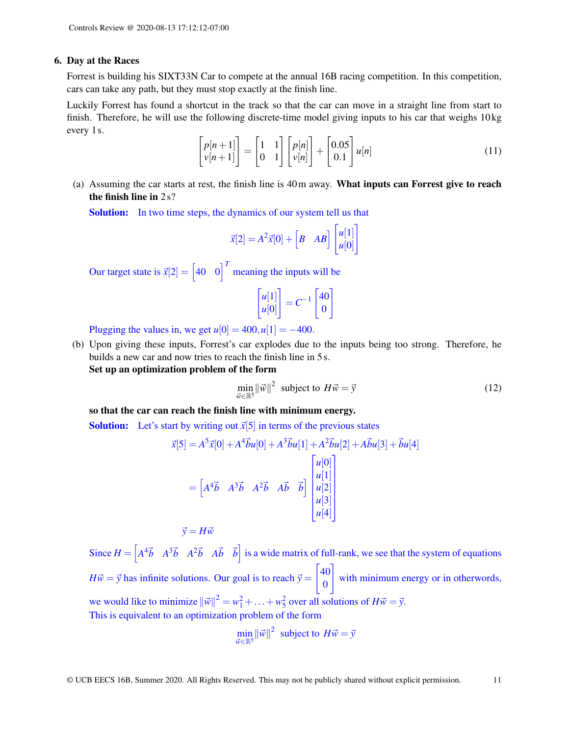#### 6. Day at the Races

Forrest is building his SIXT33N Car to compete at the annual 16B racing competition. In this competition, cars can take any path, but they must stop exactly at the finish line.

Luckily Forrest has found a shortcut in the track so that the car can move in a straight line from start to finish. Therefore, he will use the following discrete-time model giving inputs to his car that weighs 10 kg every 1 s.

$$
\begin{bmatrix} p[n+1] \\ v[n+1] \end{bmatrix} = \begin{bmatrix} 1 & 1 \\ 0 & 1 \end{bmatrix} \begin{bmatrix} p[n] \\ v[n] \end{bmatrix} + \begin{bmatrix} 0.05 \\ 0.1 \end{bmatrix} u[n] \tag{11}
$$

(a) Assuming the car starts at rest, the finish line is 40m away. What inputs can Forrest give to reach the finish line in 2 s?

**Solution:** In two time steps, the dynamics of our system tell us that

$$
\vec{x}[2] = A^2 \vec{x}[0] + \begin{bmatrix} B & AB \end{bmatrix} \begin{bmatrix} u[1] \\ u[0] \end{bmatrix}
$$

Our target state is  $\vec{x}[2] = \begin{bmatrix} 40 & 0 \end{bmatrix}^T$  meaning the inputs will be

$$
\begin{bmatrix} u[1] \\ u[0] \end{bmatrix} = C^{-1} \begin{bmatrix} 40 \\ 0 \end{bmatrix}
$$

Plugging the values in, we get  $u[0] = 400, u[1] = -400$ .

(b) Upon giving these inputs, Forrest's car explodes due to the inputs being too strong. Therefore, he builds a new car and now tries to reach the finish line in 5 s. Set up an optimization problem of the form

$$
\min_{\vec{w} \in \mathbb{R}^5} ||\vec{w}||^2 \text{ subject to } H\vec{w} = \vec{y}
$$
\n(12)

so that the car can reach the finish line with minimum energy.

**Solution:** Let's start by writing out  $\vec{x}[5]$  in terms of the previous states

$$
\vec{x}[5] = A^5 \vec{x}[0] + A^4 \vec{b} u[0] + A^3 \vec{b} u[1] + A^2 \vec{b} u[2] + A \vec{b} u[3] + \vec{b} u[4]
$$

$$
= \begin{bmatrix} A^4 \vec{b} & A^3 \vec{b} & A^2 \vec{b} & A \vec{b} & \vec{b} \end{bmatrix} \begin{bmatrix} u[0] \\ u[1] \\ u[2] \\ u[3] \\ u[4] \end{bmatrix}
$$

$$
\vec{y} = H \vec{w}
$$

Since  $H = \begin{bmatrix} A^4 \vec{b} & A^3 \vec{b} & A^2 \vec{b} & A \vec{b} & \vec{b} \end{bmatrix}$  is a wide matrix of full-rank, we see that the system of equations  $H\vec{w} = \vec{y}$  has infinite solutions. Our goal is to reach  $\vec{y} =$  $\sqrt{40}$ 0 1 with minimum energy or in otherwords, we would like to minimize  $\|\vec{w}\|^2 = w_1^2 + ... + w_5^2$  over all solutions of  $H\vec{w} = \vec{y}$ . This is equivalent to an optimization problem of the form

$$
\min_{\vec{w}\in\mathbb{R}^5} \|\vec{w}\|^2 \text{ subject to } H\vec{w} = \vec{y}
$$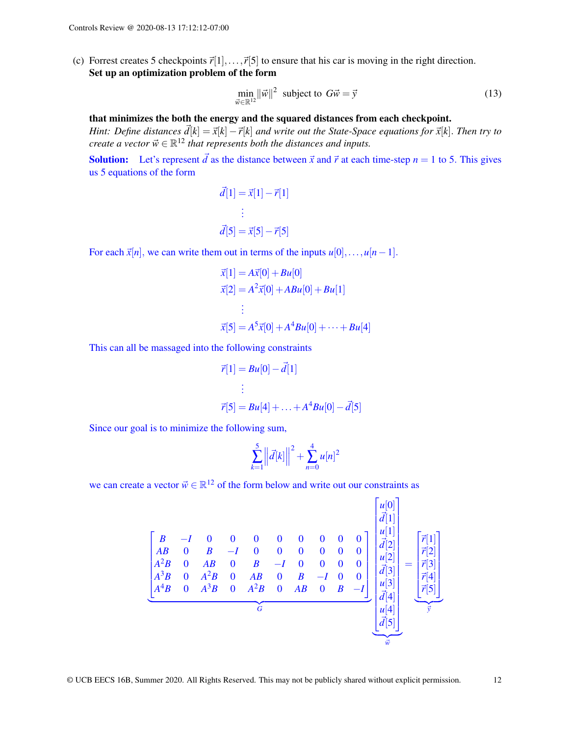(c) Forrest creates 5 checkpoints  $\vec{r}[1],...,\vec{r}[5]$  to ensure that his car is moving in the right direction. Set up an optimization problem of the form

$$
\min_{\vec{w} \in \mathbb{R}^{12}} ||\vec{w}||^2 \text{ subject to } G\vec{w} = \vec{y}
$$
\n(13)

that minimizes the both the energy and the squared distances from each checkpoint.

*Hint: Define distances*  $\vec{d}[k] = \vec{x}[k] - \vec{r}[k]$  *and write out the State-Space equations for*  $\vec{x}[k]$ *. Then try to create a vector*  $\vec{w} \in \mathbb{R}^{12}$  *that represents both the distances and inputs.* 

**Solution:** Let's represent  $\vec{d}$  as the distance between  $\vec{x}$  and  $\vec{r}$  at each time-step  $n = 1$  to 5. This gives us 5 equations of the form

$$
\vec{d}[1] = \vec{x}[1] - \vec{r}[1]
$$
\n
$$
\vdots
$$
\n
$$
\vec{d}[5] = \vec{x}[5] - \vec{r}[5]
$$

For each  $\vec{x}[n]$ , we can write them out in terms of the inputs  $u[0],...,u[n-1]$ .

$$
\vec{x}[1] = A\vec{x}[0] + Bu[0]
$$
  
\n
$$
\vec{x}[2] = A^2\vec{x}[0] + ABu[0] + Bu[1]
$$
  
\n
$$
\vdots
$$
  
\n
$$
\vec{x}[5] = A^5\vec{x}[0] + A^4Bu[0] + \dots + Bu[4]
$$

This can all be massaged into the following constraints

$$
\vec{r}[1] = Bu[0] - \vec{d}[1] \n\vdots \n\vec{r}[5] = Bu[4] + \dots + A^4Bu[0] - \vec{d}[5]
$$

Since our goal is to minimize the following sum,

$$
\sum_{k=1}^{5} \left\| \vec{d}[k] \right\|^2 + \sum_{n=0}^{4} u[n]^2
$$

we can create a vector  $\vec{w} \in \mathbb{R}^{12}$  of the form below and write out our constraints as